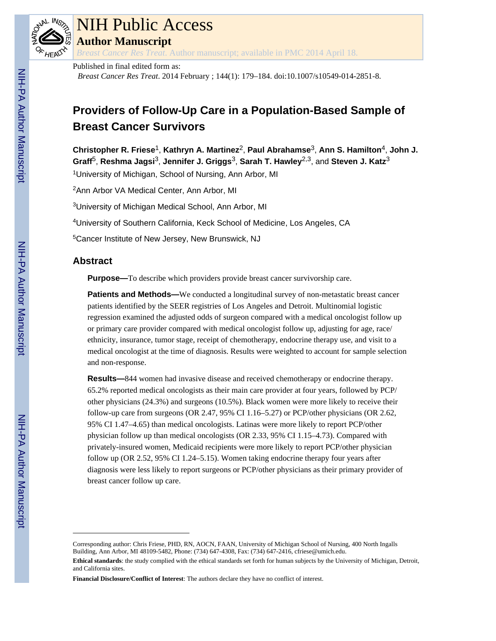

# NIH Public Access

**Author Manuscript**

*Breast Cancer Res Treat*. Author manuscript; available in PMC 2014 April 18.

Published in final edited form as: *Breast Cancer Res Treat*. 2014 February ; 144(1): 179–184. doi:10.1007/s10549-014-2851-8.

# **Providers of Follow-Up Care in a Population-Based Sample of Breast Cancer Survivors**

**Christopher R. Friese**1, **Kathryn A. Martinez**2, **Paul Abrahamse**3, **Ann S. Hamilton**4, **John J. Graff**5, **Reshma Jagsi**3, **Jennifer J. Griggs**3, **Sarah T. Hawley**2,3, and **Steven J. Katz**<sup>3</sup>

<sup>1</sup>University of Michigan, School of Nursing, Ann Arbor, MI

<sup>2</sup>Ann Arbor VA Medical Center, Ann Arbor, MI

<sup>3</sup>University of Michigan Medical School, Ann Arbor, MI

<sup>4</sup>University of Southern California, Keck School of Medicine, Los Angeles, CA

<sup>5</sup>Cancer Institute of New Jersey, New Brunswick, NJ

# **Abstract**

**Purpose—**To describe which providers provide breast cancer survivorship care.

**Patients and Methods—**We conducted a longitudinal survey of non-metastatic breast cancer patients identified by the SEER registries of Los Angeles and Detroit. Multinomial logistic regression examined the adjusted odds of surgeon compared with a medical oncologist follow up or primary care provider compared with medical oncologist follow up, adjusting for age, race/ ethnicity, insurance, tumor stage, receipt of chemotherapy, endocrine therapy use, and visit to a medical oncologist at the time of diagnosis. Results were weighted to account for sample selection and non-response.

**Results—**844 women had invasive disease and received chemotherapy or endocrine therapy. 65.2% reported medical oncologists as their main care provider at four years, followed by PCP/ other physicians (24.3%) and surgeons (10.5%). Black women were more likely to receive their follow-up care from surgeons (OR 2.47, 95% CI 1.16–5.27) or PCP/other physicians (OR 2.62, 95% CI 1.47–4.65) than medical oncologists. Latinas were more likely to report PCP/other physician follow up than medical oncologists (OR 2.33, 95% CI 1.15–4.73). Compared with privately-insured women, Medicaid recipients were more likely to report PCP/other physician follow up (OR 2.52, 95% CI 1.24–5.15). Women taking endocrine therapy four years after diagnosis were less likely to report surgeons or PCP/other physicians as their primary provider of breast cancer follow up care.

Corresponding author: Chris Friese, PHD, RN, AOCN, FAAN, University of Michigan School of Nursing, 400 North Ingalls Building, Ann Arbor, MI 48109-5482, Phone: (734) 647-4308, Fax: (734) 647-2416, cfriese@umich.edu.

**Ethical standards**: the study complied with the ethical standards set forth for human subjects by the University of Michigan, Detroit, and California sites.

**Financial Disclosure/Conflict of Interest**: The authors declare they have no conflict of interest.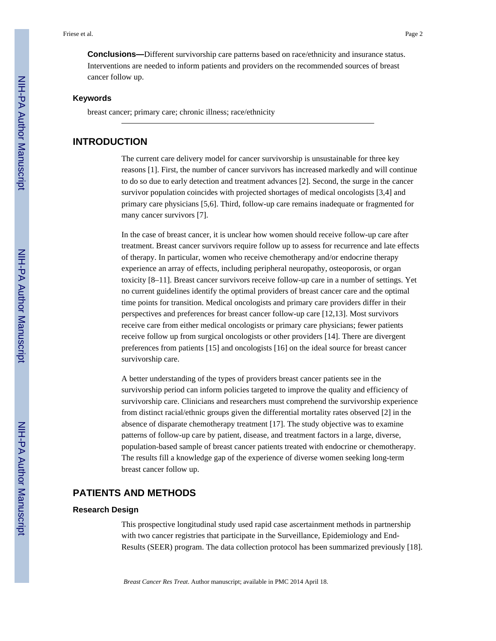**Conclusions—**Different survivorship care patterns based on race/ethnicity and insurance status. Interventions are needed to inform patients and providers on the recommended sources of breast cancer follow up.

#### **Keywords**

breast cancer; primary care; chronic illness; race/ethnicity

#### **INTRODUCTION**

The current care delivery model for cancer survivorship is unsustainable for three key reasons [1]. First, the number of cancer survivors has increased markedly and will continue to do so due to early detection and treatment advances [2]. Second, the surge in the cancer survivor population coincides with projected shortages of medical oncologists [3,4] and primary care physicians [5,6]. Third, follow-up care remains inadequate or fragmented for many cancer survivors [7].

In the case of breast cancer, it is unclear how women should receive follow-up care after treatment. Breast cancer survivors require follow up to assess for recurrence and late effects of therapy. In particular, women who receive chemotherapy and/or endocrine therapy experience an array of effects, including peripheral neuropathy, osteoporosis, or organ toxicity [8–11]. Breast cancer survivors receive follow-up care in a number of settings. Yet no current guidelines identify the optimal providers of breast cancer care and the optimal time points for transition. Medical oncologists and primary care providers differ in their perspectives and preferences for breast cancer follow-up care [12,13]. Most survivors receive care from either medical oncologists or primary care physicians; fewer patients receive follow up from surgical oncologists or other providers [14]. There are divergent preferences from patients [15] and oncologists [16] on the ideal source for breast cancer survivorship care.

A better understanding of the types of providers breast cancer patients see in the survivorship period can inform policies targeted to improve the quality and efficiency of survivorship care. Clinicians and researchers must comprehend the survivorship experience from distinct racial/ethnic groups given the differential mortality rates observed [2] in the absence of disparate chemotherapy treatment [17]. The study objective was to examine patterns of follow-up care by patient, disease, and treatment factors in a large, diverse, population-based sample of breast cancer patients treated with endocrine or chemotherapy. The results fill a knowledge gap of the experience of diverse women seeking long-term breast cancer follow up.

# **PATIENTS AND METHODS**

#### **Research Design**

This prospective longitudinal study used rapid case ascertainment methods in partnership with two cancer registries that participate in the Surveillance, Epidemiology and End-Results (SEER) program. The data collection protocol has been summarized previously [18].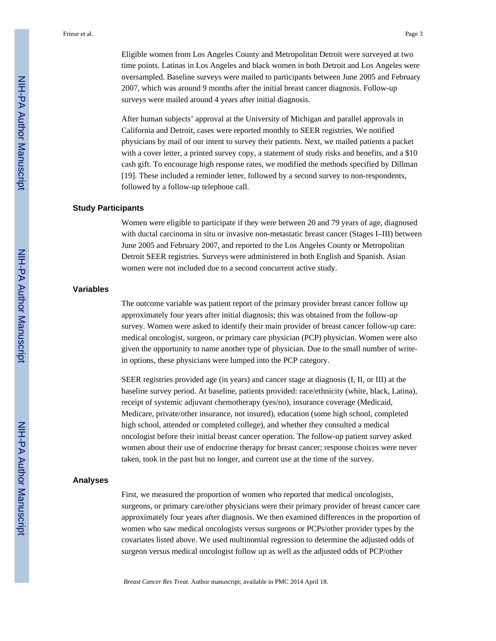Eligible women from Los Angeles County and Metropolitan Detroit were surveyed at two time points. Latinas in Los Angeles and black women in both Detroit and Los Angeles were oversampled. Baseline surveys were mailed to participants between June 2005 and February 2007, which was around 9 months after the initial breast cancer diagnosis. Follow-up surveys were mailed around 4 years after initial diagnosis.

After human subjects' approval at the University of Michigan and parallel approvals in California and Detroit, cases were reported monthly to SEER registries. We notified physicians by mail of our intent to survey their patients. Next, we mailed patients a packet with a cover letter, a printed survey copy, a statement of study risks and benefits, and a \$10 cash gift. To encourage high response rates, we modified the methods specified by Dillman [19]. These included a reminder letter, followed by a second survey to non-respondents, followed by a follow-up telephone call.

#### **Study Participants**

Women were eligible to participate if they were between 20 and 79 years of age, diagnosed with ductal carcinoma in situ or invasive non-metastatic breast cancer (Stages I–III) between June 2005 and February 2007, and reported to the Los Angeles County or Metropolitan Detroit SEER registries. Surveys were administered in both English and Spanish. Asian women were not included due to a second concurrent active study.

#### **Variables**

The outcome variable was patient report of the primary provider breast cancer follow up approximately four years after initial diagnosis; this was obtained from the follow-up survey. Women were asked to identify their main provider of breast cancer follow-up care: medical oncologist, surgeon, or primary care physician (PCP) physician. Women were also given the opportunity to name another type of physician. Due to the small number of writein options, these physicians were lumped into the PCP category.

SEER registries provided age (in years) and cancer stage at diagnosis (I, II, or III) at the baseline survey period. At baseline, patients provided: race/ethnicity (white, black, Latina), receipt of systemic adjuvant chemotherapy (yes/no), insurance coverage (Medicaid, Medicare, private/other insurance, not insured), education (some high school, completed high school, attended or completed college), and whether they consulted a medical oncologist before their initial breast cancer operation. The follow-up patient survey asked women about their use of endocrine therapy for breast cancer; response choices were never taken, took in the past but no longer, and current use at the time of the survey.

#### **Analyses**

First, we measured the proportion of women who reported that medical oncologists, surgeons, or primary care/other physicians were their primary provider of breast cancer care approximately four years after diagnosis. We then examined differences in the proportion of women who saw medical oncologists versus surgeons or PCPs/other provider types by the covariates listed above. We used multinomial regression to determine the adjusted odds of surgeon versus medical oncologist follow up as well as the adjusted odds of PCP/other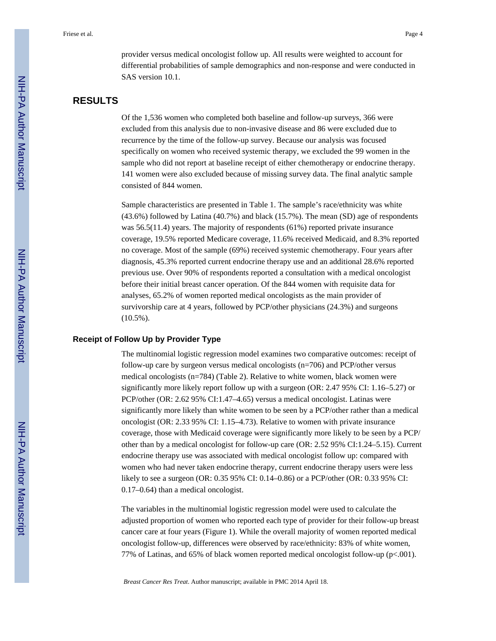provider versus medical oncologist follow up. All results were weighted to account for differential probabilities of sample demographics and non-response and were conducted in SAS version 10.1.

# **RESULTS**

Of the 1,536 women who completed both baseline and follow-up surveys, 366 were excluded from this analysis due to non-invasive disease and 86 were excluded due to recurrence by the time of the follow-up survey. Because our analysis was focused specifically on women who received systemic therapy, we excluded the 99 women in the sample who did not report at baseline receipt of either chemotherapy or endocrine therapy. 141 women were also excluded because of missing survey data. The final analytic sample consisted of 844 women.

Sample characteristics are presented in Table 1. The sample's race/ethnicity was white (43.6%) followed by Latina (40.7%) and black (15.7%). The mean (SD) age of respondents was 56.5(11.4) years. The majority of respondents (61%) reported private insurance coverage, 19.5% reported Medicare coverage, 11.6% received Medicaid, and 8.3% reported no coverage. Most of the sample (69%) received systemic chemotherapy. Four years after diagnosis, 45.3% reported current endocrine therapy use and an additional 28.6% reported previous use. Over 90% of respondents reported a consultation with a medical oncologist before their initial breast cancer operation. Of the 844 women with requisite data for analyses, 65.2% of women reported medical oncologists as the main provider of survivorship care at 4 years, followed by PCP/other physicians (24.3%) and surgeons (10.5%).

#### **Receipt of Follow Up by Provider Type**

The multinomial logistic regression model examines two comparative outcomes: receipt of follow-up care by surgeon versus medical oncologists (n=706) and PCP/other versus medical oncologists (n=784) (Table 2). Relative to white women, black women were significantly more likely report follow up with a surgeon (OR: 2.47 95% CI: 1.16–5.27) or PCP/other (OR: 2.62 95% CI:1.47–4.65) versus a medical oncologist. Latinas were significantly more likely than white women to be seen by a PCP/other rather than a medical oncologist (OR: 2.33 95% CI: 1.15–4.73). Relative to women with private insurance coverage, those with Medicaid coverage were significantly more likely to be seen by a PCP/ other than by a medical oncologist for follow-up care (OR: 2.52 95% CI:1.24–5.15). Current endocrine therapy use was associated with medical oncologist follow up: compared with women who had never taken endocrine therapy, current endocrine therapy users were less likely to see a surgeon (OR: 0.35 95% CI: 0.14–0.86) or a PCP/other (OR: 0.33 95% CI: 0.17–0.64) than a medical oncologist.

The variables in the multinomial logistic regression model were used to calculate the adjusted proportion of women who reported each type of provider for their follow-up breast cancer care at four years (Figure 1). While the overall majority of women reported medical oncologist follow-up, differences were observed by race/ethnicity: 83% of white women, 77% of Latinas, and 65% of black women reported medical oncologist follow-up (p<.001).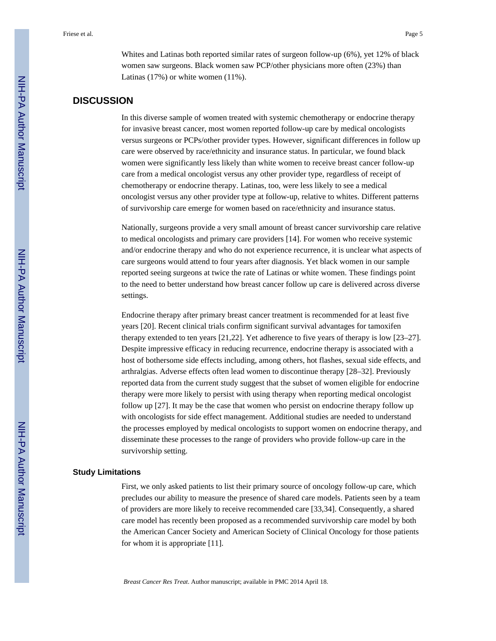Whites and Latinas both reported similar rates of surgeon follow-up (6%), yet 12% of black women saw surgeons. Black women saw PCP/other physicians more often (23%) than Latinas (17%) or white women (11%).

# **DISCUSSION**

In this diverse sample of women treated with systemic chemotherapy or endocrine therapy for invasive breast cancer, most women reported follow-up care by medical oncologists versus surgeons or PCPs/other provider types. However, significant differences in follow up care were observed by race/ethnicity and insurance status. In particular, we found black women were significantly less likely than white women to receive breast cancer follow-up care from a medical oncologist versus any other provider type, regardless of receipt of chemotherapy or endocrine therapy. Latinas, too, were less likely to see a medical oncologist versus any other provider type at follow-up, relative to whites. Different patterns of survivorship care emerge for women based on race/ethnicity and insurance status.

Nationally, surgeons provide a very small amount of breast cancer survivorship care relative to medical oncologists and primary care providers [14]. For women who receive systemic and/or endocrine therapy and who do not experience recurrence, it is unclear what aspects of care surgeons would attend to four years after diagnosis. Yet black women in our sample reported seeing surgeons at twice the rate of Latinas or white women. These findings point to the need to better understand how breast cancer follow up care is delivered across diverse settings.

Endocrine therapy after primary breast cancer treatment is recommended for at least five years [20]. Recent clinical trials confirm significant survival advantages for tamoxifen therapy extended to ten years [21,22]. Yet adherence to five years of therapy is low [23–27]. Despite impressive efficacy in reducing recurrence, endocrine therapy is associated with a host of bothersome side effects including, among others, hot flashes, sexual side effects, and arthralgias. Adverse effects often lead women to discontinue therapy [28–32]. Previously reported data from the current study suggest that the subset of women eligible for endocrine therapy were more likely to persist with using therapy when reporting medical oncologist follow up [27]. It may be the case that women who persist on endocrine therapy follow up with oncologists for side effect management. Additional studies are needed to understand the processes employed by medical oncologists to support women on endocrine therapy, and disseminate these processes to the range of providers who provide follow-up care in the survivorship setting.

#### **Study Limitations**

First, we only asked patients to list their primary source of oncology follow-up care, which precludes our ability to measure the presence of shared care models. Patients seen by a team of providers are more likely to receive recommended care [33,34]. Consequently, a shared care model has recently been proposed as a recommended survivorship care model by both the American Cancer Society and American Society of Clinical Oncology for those patients for whom it is appropriate [11].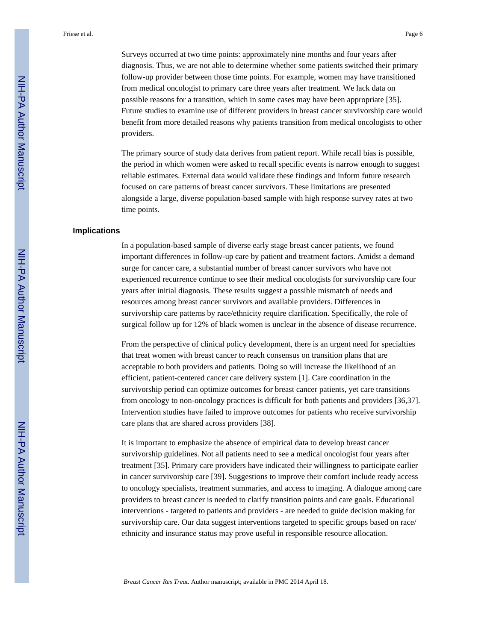Surveys occurred at two time points: approximately nine months and four years after diagnosis. Thus, we are not able to determine whether some patients switched their primary follow-up provider between those time points. For example, women may have transitioned from medical oncologist to primary care three years after treatment. We lack data on possible reasons for a transition, which in some cases may have been appropriate [35]. Future studies to examine use of different providers in breast cancer survivorship care would benefit from more detailed reasons why patients transition from medical oncologists to other providers.

The primary source of study data derives from patient report. While recall bias is possible, the period in which women were asked to recall specific events is narrow enough to suggest reliable estimates. External data would validate these findings and inform future research focused on care patterns of breast cancer survivors. These limitations are presented alongside a large, diverse population-based sample with high response survey rates at two time points.

#### **Implications**

In a population-based sample of diverse early stage breast cancer patients, we found important differences in follow-up care by patient and treatment factors. Amidst a demand surge for cancer care, a substantial number of breast cancer survivors who have not experienced recurrence continue to see their medical oncologists for survivorship care four years after initial diagnosis. These results suggest a possible mismatch of needs and resources among breast cancer survivors and available providers. Differences in survivorship care patterns by race/ethnicity require clarification. Specifically, the role of surgical follow up for 12% of black women is unclear in the absence of disease recurrence.

From the perspective of clinical policy development, there is an urgent need for specialties that treat women with breast cancer to reach consensus on transition plans that are acceptable to both providers and patients. Doing so will increase the likelihood of an efficient, patient-centered cancer care delivery system [1]. Care coordination in the survivorship period can optimize outcomes for breast cancer patients, yet care transitions from oncology to non-oncology practices is difficult for both patients and providers [36,37]. Intervention studies have failed to improve outcomes for patients who receive survivorship care plans that are shared across providers [38].

It is important to emphasize the absence of empirical data to develop breast cancer survivorship guidelines. Not all patients need to see a medical oncologist four years after treatment [35]. Primary care providers have indicated their willingness to participate earlier in cancer survivorship care [39]. Suggestions to improve their comfort include ready access to oncology specialists, treatment summaries, and access to imaging. A dialogue among care providers to breast cancer is needed to clarify transition points and care goals. Educational interventions - targeted to patients and providers - are needed to guide decision making for survivorship care. Our data suggest interventions targeted to specific groups based on race/ ethnicity and insurance status may prove useful in responsible resource allocation.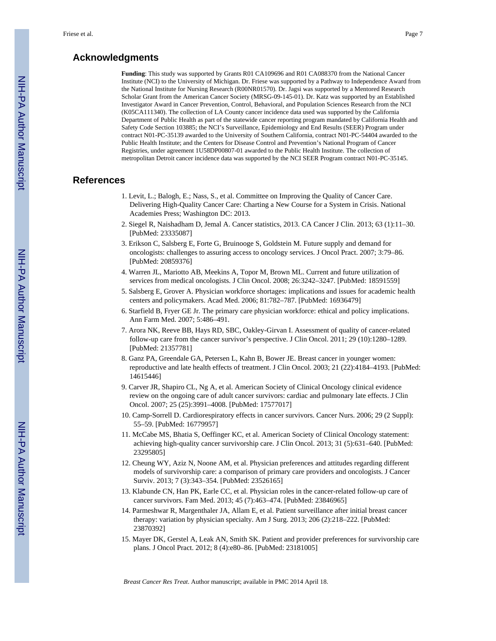# **Acknowledgments**

**Funding**: This study was supported by Grants R01 CA109696 and R01 CA088370 from the National Cancer Institute (NCI) to the University of Michigan. Dr. Friese was supported by a Pathway to Independence Award from the National Institute for Nursing Research (R00NR01570). Dr. Jagsi was supported by a Mentored Research Scholar Grant from the American Cancer Society (MRSG-09-145-01). Dr. Katz was supported by an Established Investigator Award in Cancer Prevention, Control, Behavioral, and Population Sciences Research from the NCI (K05CA111340). The collection of LA County cancer incidence data used was supported by the California Department of Public Health as part of the statewide cancer reporting program mandated by California Health and Safety Code Section 103885; the NCI's Surveillance, Epidemiology and End Results (SEER) Program under contract N01-PC-35139 awarded to the University of Southern California, contract N01-PC-54404 awarded to the Public Health Institute; and the Centers for Disease Control and Prevention's National Program of Cancer Registries, under agreement 1U58DP00807-01 awarded to the Public Health Institute. The collection of metropolitan Detroit cancer incidence data was supported by the NCI SEER Program contract N01-PC-35145.

# **References**

- 1. Levit, L.; Balogh, E.; Nass, S., et al. Committee on Improving the Quality of Cancer Care. Delivering High-Quality Cancer Care: Charting a New Course for a System in Crisis. National Academies Press; Washington DC: 2013.
- 2. Siegel R, Naishadham D, Jemal A. Cancer statistics, 2013. CA Cancer J Clin. 2013; 63 (1):11–30. [PubMed: 23335087]
- 3. Erikson C, Salsberg E, Forte G, Bruinooge S, Goldstein M. Future supply and demand for oncologists: challenges to assuring access to oncology services. J Oncol Pract. 2007; 3:79–86. [PubMed: 20859376]
- 4. Warren JL, Mariotto AB, Meekins A, Topor M, Brown ML. Current and future utilization of services from medical oncologists. J Clin Oncol. 2008; 26:3242–3247. [PubMed: 18591559]
- 5. Salsberg E, Grover A. Physician workforce shortages: implications and issues for academic health centers and policymakers. Acad Med. 2006; 81:782–787. [PubMed: 16936479]
- 6. Starfield B, Fryer GE Jr. The primary care physician workforce: ethical and policy implications. Ann Farm Med. 2007; 5:486–491.
- 7. Arora NK, Reeve BB, Hays RD, SBC, Oakley-Girvan I. Assessment of quality of cancer-related follow-up care from the cancer survivor's perspective. J Clin Oncol. 2011; 29 (10):1280–1289. [PubMed: 21357781]
- 8. Ganz PA, Greendale GA, Petersen L, Kahn B, Bower JE. Breast cancer in younger women: reproductive and late health effects of treatment. J Clin Oncol. 2003; 21 (22):4184–4193. [PubMed: 14615446]
- 9. Carver JR, Shapiro CL, Ng A, et al. American Society of Clinical Oncology clinical evidence review on the ongoing care of adult cancer survivors: cardiac and pulmonary late effects. J Clin Oncol. 2007; 25 (25):3991–4008. [PubMed: 17577017]
- 10. Camp-Sorrell D. Cardiorespiratory effects in cancer survivors. Cancer Nurs. 2006; 29 (2 Suppl): 55–59. [PubMed: 16779957]
- 11. McCabe MS, Bhatia S, Oeffinger KC, et al. American Society of Clinical Oncology statement: achieving high-quality cancer survivorship care. J Clin Oncol. 2013; 31 (5):631–640. [PubMed: 23295805]
- 12. Cheung WY, Aziz N, Noone AM, et al. Physician preferences and attitudes regarding different models of survivorship care: a comparison of primary care providers and oncologists. J Cancer Surviv. 2013; 7 (3):343–354. [PubMed: 23526165]
- 13. Klabunde CN, Han PK, Earle CC, et al. Physician roles in the cancer-related follow-up care of cancer survivors. Fam Med. 2013; 45 (7):463–474. [PubMed: 23846965]
- 14. Parmeshwar R, Margenthaler JA, Allam E, et al. Patient surveillance after initial breast cancer therapy: variation by physician specialty. Am J Surg. 2013; 206 (2):218–222. [PubMed: 23870392]
- 15. Mayer DK, Gerstel A, Leak AN, Smith SK. Patient and provider preferences for survivorship care plans. J Oncol Pract. 2012; 8 (4):e80–86. [PubMed: 23181005]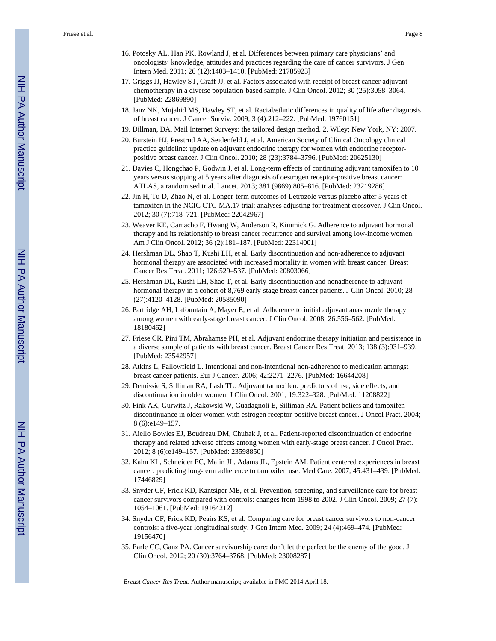Friese et al. Page 8

- 16. Potosky AL, Han PK, Rowland J, et al. Differences between primary care physicians' and oncologists' knowledge, attitudes and practices regarding the care of cancer survivors. J Gen Intern Med. 2011; 26 (12):1403–1410. [PubMed: 21785923]
- 17. Griggs JJ, Hawley ST, Graff JJ, et al. Factors associated with receipt of breast cancer adjuvant chemotherapy in a diverse population-based sample. J Clin Oncol. 2012; 30 (25):3058–3064. [PubMed: 22869890]
- 18. Janz NK, Mujahid MS, Hawley ST, et al. Racial/ethnic differences in quality of life after diagnosis of breast cancer. J Cancer Surviv. 2009; 3 (4):212–222. [PubMed: 19760151]
- 19. Dillman, DA. Mail Internet Surveys: the tailored design method. 2. Wiley; New York, NY: 2007.
- 20. Burstein HJ, Prestrud AA, Seidenfeld J, et al. American Society of Clinical Oncology clinical practice guideline: update on adjuvant endocrine therapy for women with endocrine receptorpositive breast cancer. J Clin Oncol. 2010; 28 (23):3784–3796. [PubMed: 20625130]
- 21. Davies C, Hongchao P, Godwin J, et al. Long-term effects of continuing adjuvant tamoxifen to 10 years versus stopping at 5 years after diagnosis of oestrogen receptor-positive breast cancer: ATLAS, a randomised trial. Lancet. 2013; 381 (9869):805–816. [PubMed: 23219286]
- 22. Jin H, Tu D, Zhao N, et al. Longer-term outcomes of Letrozole versus placebo after 5 years of tamoxifen in the NCIC CTG MA.17 trial: analyses adjusting for treatment crossover. J Clin Oncol. 2012; 30 (7):718–721. [PubMed: 22042967]
- 23. Weaver KE, Camacho F, Hwang W, Anderson R, Kimmick G. Adherence to adjuvant hormonal therapy and its relationship to breast cancer recurrence and survival among low-income women. Am J Clin Oncol. 2012; 36 (2):181–187. [PubMed: 22314001]
- 24. Hershman DL, Shao T, Kushi LH, et al. Early discontinuation and non-adherence to adjuvant hormonal therapy are associated with increased mortality in women with breast cancer. Breast Cancer Res Treat. 2011; 126:529–537. [PubMed: 20803066]
- 25. Hershman DL, Kushi LH, Shao T, et al. Early discontinuation and nonadherence to adjuvant hormonal therapy in a cohort of 8,769 early-stage breast cancer patients. J Clin Oncol. 2010; 28 (27):4120–4128. [PubMed: 20585090]
- 26. Partridge AH, Lafountain A, Mayer E, et al. Adherence to initial adjuvant anastrozole therapy among women with early-stage breast cancer. J Clin Oncol. 2008; 26:556–562. [PubMed: 18180462]
- 27. Friese CR, Pini TM, Abrahamse PH, et al. Adjuvant endocrine therapy initiation and persistence in a diverse sample of patients with breast cancer. Breast Cancer Res Treat. 2013; 138 (3):931–939. [PubMed: 23542957]
- 28. Atkins L, Fallowfield L. Intentional and non-intentional non-adherence to medication amongst breast cancer patients. Eur J Cancer. 2006; 42:2271–2276. [PubMed: 16644208]
- 29. Demissie S, Silliman RA, Lash TL. Adjuvant tamoxifen: predictors of use, side effects, and discontinuation in older women. J Clin Oncol. 2001; 19:322–328. [PubMed: 11208822]
- 30. Fink AK, Gurwitz J, Rakowski W, Guadagnoli E, Silliman RA. Patient beliefs and tamoxifen discontinuance in older women with estrogen receptor-positive breast cancer. J Oncol Pract. 2004; 8 (6):e149–157.
- 31. Aiello Bowles EJ, Boudreau DM, Chubak J, et al. Patient-reported discontinuation of endocrine therapy and related adverse effects among women with early-stage breast cancer. J Oncol Pract. 2012; 8 (6):e149–157. [PubMed: 23598850]
- 32. Kahn KL, Schneider EC, Malin JL, Adams JL, Epstein AM. Patient centered experiences in breast cancer: predicting long-term adherence to tamoxifen use. Med Care. 2007; 45:431–439. [PubMed: 17446829]
- 33. Snyder CF, Frick KD, Kantsiper ME, et al. Prevention, screening, and surveillance care for breast cancer survivors compared with controls: changes from 1998 to 2002. J Clin Oncol. 2009; 27 (7): 1054–1061. [PubMed: 19164212]
- 34. Snyder CF, Frick KD, Peairs KS, et al. Comparing care for breast cancer survivors to non-cancer controls: a five-year longitudinal study. J Gen Intern Med. 2009; 24 (4):469–474. [PubMed: 19156470]
- 35. Earle CC, Ganz PA. Cancer survivorship care: don't let the perfect be the enemy of the good. J Clin Oncol. 2012; 20 (30):3764–3768. [PubMed: 23008287]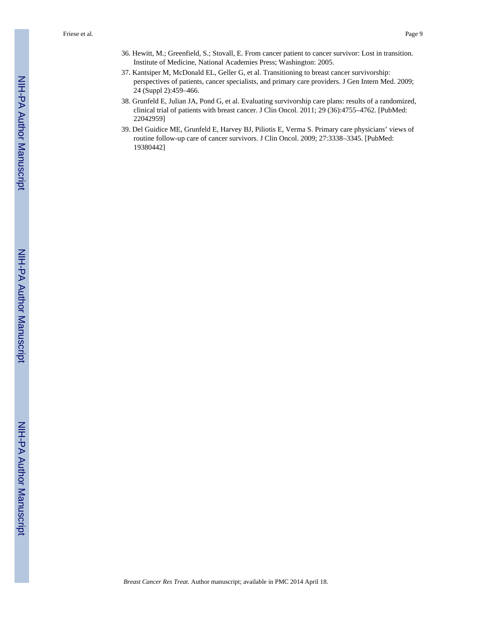- 36. Hewitt, M.; Greenfield, S.; Stovall, E. From cancer patient to cancer survivor: Lost in transition. Institute of Medicine, National Academies Press; Washington: 2005.
- 37. Kantsiper M, McDonald EL, Geller G, et al. Transitioning to breast cancer survivorship: perspectives of patients, cancer specialists, and primary care providers. J Gen Intern Med. 2009; 24 (Suppl 2):459–466.
- 38. Grunfeld E, Julian JA, Pond G, et al. Evaluating survivorship care plans: results of a randomized, clinical trial of patients with breast cancer. J Clin Oncol. 2011; 29 (36):4755–4762. [PubMed: 22042959]
- 39. Del Guidice ME, Grunfeld E, Harvey BJ, Piliotis E, Verma S. Primary care physicians' views of routine follow-up care of cancer survivors. J Clin Oncol. 2009; 27:3338–3345. [PubMed: 19380442]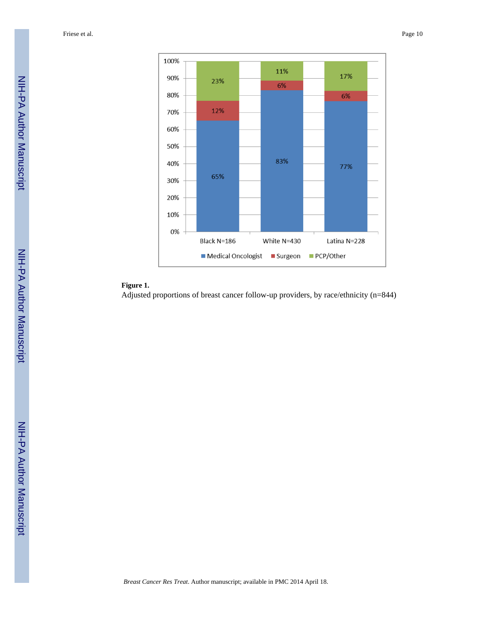Friese et al. Page 10



# **Figure 1.**

Adjusted proportions of breast cancer follow-up providers, by race/ethnicity (n=844)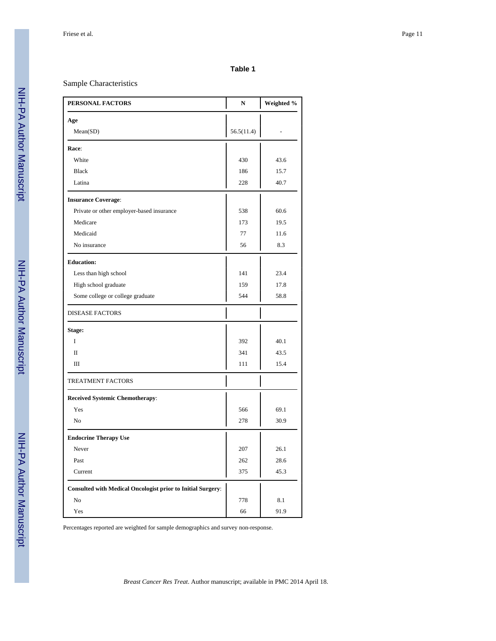#### **Table 1**

### Sample Characteristics

| PERSONAL FACTORS                                                   | $\mathbf N$ | Weighted % |
|--------------------------------------------------------------------|-------------|------------|
| Age                                                                |             |            |
| Mean(SD)                                                           | 56.5(11.4)  |            |
| Race:                                                              |             |            |
| White                                                              | 430         | 43.6       |
| <b>Black</b>                                                       | 186         | 15.7       |
| Latina                                                             | 228         | 40.7       |
| <b>Insurance Coverage:</b>                                         |             |            |
| Private or other employer-based insurance                          | 538         | 60.6       |
| Medicare                                                           | 173         | 19.5       |
| Medicaid                                                           | 77          | 11.6       |
| No insurance                                                       | 56          | 8.3        |
| <b>Education:</b>                                                  |             |            |
| Less than high school                                              | 141         | 23.4       |
| High school graduate                                               | 159         | 17.8       |
| Some college or college graduate                                   | 544         | 58.8       |
| <b>DISEASE FACTORS</b>                                             |             |            |
| Stage:                                                             |             |            |
| I                                                                  | 392         | 40.1       |
| $\rm II$                                                           | 341         | 43.5       |
| Ш                                                                  | 111         | 15.4       |
| <b>TREATMENT FACTORS</b>                                           |             |            |
| <b>Received Systemic Chemotherapy:</b>                             |             |            |
| Yes                                                                | 566         | 69.1       |
| N <sub>o</sub>                                                     | 278         | 30.9       |
| <b>Endocrine Therapy Use</b>                                       |             |            |
| Never                                                              | 207         | 26.1       |
| Past                                                               | 262         | 28.6       |
| Current                                                            | 375         | 45.3       |
| <b>Consulted with Medical Oncologist prior to Initial Surgery:</b> |             |            |
| No                                                                 | 778         | 8.1        |
| Yes                                                                | 66          | 91.9       |

Percentages reported are weighted for sample demographics and survey non-response.